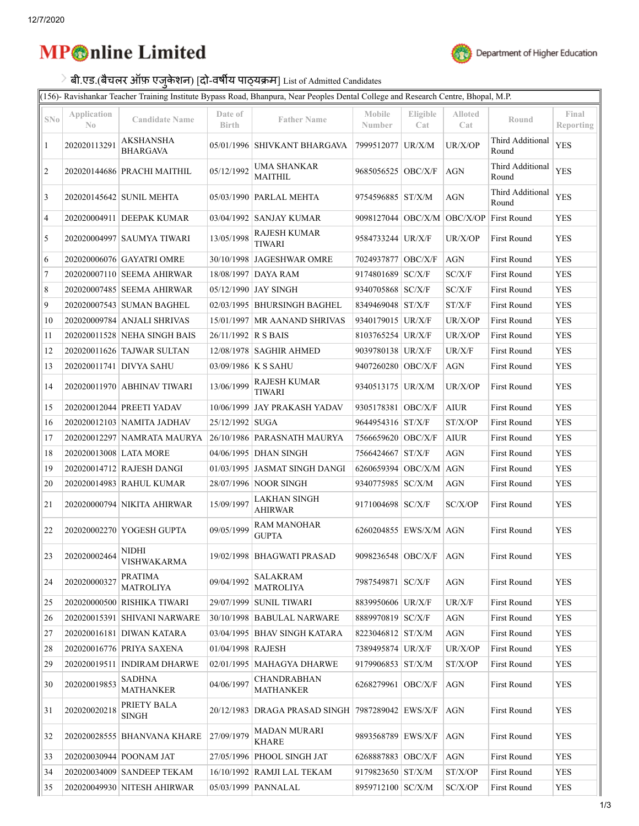## **MP** nline Limited



╗

## बी.एड.(बैचलर ऑफ़ एजुकेशन) [**दो-वर्षीय पाठ्यक्रम**] List of Admitted Candidates

(156)- Ravishankar Teacher Training Institute Bypass Road, Bhanpura, Near Peoples Dental College and Research Centre, Bhopal, M.P.

|                |                               |                                                                                                         |                         | (190) "Ra nonamai" Teacher Tranning mouraire Dypaso Road, Dhanpara, Frear Feoples Demair Conege and Research Centre, Dhopar, 14.1. |                                         |                 |                                      |                           |                    |
|----------------|-------------------------------|---------------------------------------------------------------------------------------------------------|-------------------------|------------------------------------------------------------------------------------------------------------------------------------|-----------------------------------------|-----------------|--------------------------------------|---------------------------|--------------------|
| $\mathrm{SNo}$ | Application<br>$\mathbb{N}^0$ | <b>Candidate Name</b>                                                                                   | Date of<br><b>Birth</b> | <b>Father Name</b>                                                                                                                 | Mobile<br>Number                        | Eligible<br>Cat | Alloted<br>Cat                       | Round                     | Final<br>Reporting |
| $\mathbf{1}$   | 202020113291                  | <b>AKSHANSHA</b><br><b>BHARGAVA</b>                                                                     |                         | 05/01/1996 SHIVKANT BHARGAVA 7999512077 UR/X/M                                                                                     |                                         |                 | UR/X/OP                              | Third Additional<br>Round | <b>YES</b>         |
| $\overline{c}$ |                               | 202020144686 PRACHI MAITHIL                                                                             | 05/12/1992              | <b>UMA SHANKAR</b><br><b>MAITHIL</b>                                                                                               | 9685056525 OBC/X/F                      |                 | <b>AGN</b>                           | Third Additional<br>Round | <b>YES</b>         |
| 3              |                               | 202020145642 SUNIL MEHTA                                                                                |                         | 05/03/1990   PARLAL MEHTA                                                                                                          | 9754596885 ST/X/M                       |                 | <b>AGN</b>                           | Third Additional<br>Round | <b>YES</b>         |
| 4              |                               | 202020004911 DEEPAK KUMAR                                                                               |                         | 03/04/1992 SANJAY KUMAR                                                                                                            | 9098127044 OBC/X/M OBC/X/OP First Round |                 |                                      |                           | <b>YES</b>         |
| 5              |                               | 202020004997 SAUMYA TIWARI                                                                              | 13/05/1998              | <b>RAJESH KUMAR</b><br><b>TIWARI</b>                                                                                               | 9584733244 UR/X/F                       |                 | UR/X/OP                              | First Round               | <b>YES</b>         |
| 6              |                               | 202020006076 GAYATRI OMRE                                                                               |                         | 30/10/1998 JAGESHWAR OMRE                                                                                                          | 7024937877 OBC/X/F                      |                 | $\rm{AGN}$                           | First Round               | <b>YES</b>         |
| $\overline{7}$ |                               | 202020007110 SEEMA AHIRWAR                                                                              |                         | 18/08/1997 DAYA RAM                                                                                                                | 9174801689 SC/X/F                       |                 | SC/X/F                               | First Round               | <b>YES</b>         |
| 8              |                               | 202020007485 SEEMA AHIRWAR                                                                              |                         | 05/12/1990 JAY SINGH                                                                                                               | 9340705868 SC/X/F                       |                 | SC/X/F                               | First Round               | <b>YES</b>         |
| 9              |                               | 202020007543 SUMAN BAGHEL                                                                               |                         | 02/03/1995 BHURSINGH BAGHEL                                                                                                        | 8349469048 ST/X/F                       |                 | ST/X/F                               | <b>First Round</b>        | <b>YES</b>         |
| 10             |                               | 202020009784 ANJALI SHRIVAS                                                                             |                         | 15/01/1997   MR AANAND SHRIVAS                                                                                                     | 9340179015 UR/X/F                       |                 | UR/X/OP                              | First Round               | <b>YES</b>         |
| 11             |                               | 202020011528 NEHA SINGH BAIS                                                                            | 26/11/1992 R S BAIS     |                                                                                                                                    | 8103765254 UR/X/F                       |                 | UR/X/OP                              | First Round               | <b>YES</b>         |
| 12             |                               | 202020011626 TAJWAR SULTAN                                                                              |                         | 12/08/1978   SAGHIR AHMED                                                                                                          | 9039780138 UR/X/F                       |                 | UR/X/F                               | First Round               | <b>YES</b>         |
| 13             |                               | 202020011741 DIVYA SAHU                                                                                 | 03/09/1986 K S SAHU     |                                                                                                                                    | 9407260280 OBC/X/F                      |                 | <b>AGN</b>                           | First Round               | <b>YES</b>         |
| 14             |                               | 202020011970 ABHINAV TIWARI                                                                             | 13/06/1999              | <b>RAJESH KUMAR</b><br><b>TIWARI</b>                                                                                               | 9340513175 UR/X/M                       |                 | UR/X/OP                              | First Round               | <b>YES</b>         |
| 15             |                               | 202020012044 PREETI YADAV                                                                               |                         | 10/06/1999 JAY PRAKASH YADAV                                                                                                       | 9305178381 OBC/X/F                      |                 | <b>AIUR</b>                          | First Round               | <b>YES</b>         |
| 16             |                               | 202020012103 NAMITA JADHAV                                                                              | 25/12/1992 SUGA         |                                                                                                                                    | 9644954316 ST/X/F                       |                 | ST/X/OP                              | First Round               | <b>YES</b>         |
| 17             |                               | 202020012297 NAMRATA MAURYA                                                                             |                         | 26/10/1986 PARASNATH MAURYA                                                                                                        | 7566659620 OBC/X/F                      |                 | <b>AIUR</b>                          | First Round               | <b>YES</b>         |
| 18             | 202020013008 LATA MORE        |                                                                                                         |                         | 04/06/1995 DHAN SINGH                                                                                                              | 7566424667 ST/X/F                       |                 | <b>AGN</b>                           | First Round               | <b>YES</b>         |
| 19             |                               | 202020014712 RAJESH DANGI                                                                               |                         | 01/03/1995 JASMAT SINGH DANGI                                                                                                      | 6260659394 OBC/X/M AGN                  |                 |                                      | First Round               | <b>YES</b>         |
| 20             |                               | 202020014983 RAHUL KUMAR                                                                                |                         | 28/07/1996 NOOR SINGH                                                                                                              | 9340775985 SC/X/M                       |                 | $AGN$                                | First Round               | <b>YES</b>         |
| 21             |                               | 202020000794 NIKITA AHIRWAR                                                                             | 15/09/1997              | <b>LAKHAN SINGH</b><br><b>AHIRWAR</b>                                                                                              | 9171004698 SC/X/F                       |                 | SC/X/OP                              | First Round               | <b>YES</b>         |
| 22             |                               | 202020002270 YOGESH GUPTA                                                                               | 09/05/1999              | <b>RAM MANOHAR</b><br><b>GUPTA</b>                                                                                                 | 6260204855 EWS/X/M AGN                  |                 |                                      | First Round               | <b>YES</b>         |
| 23             |                               | <b>NIDHI</b><br>$\begin{array}{ c c c c }\hline 202020002464 & \text{VISHWAKARMA} \\\hline \end{array}$ |                         | 19/02/1998 BHAGWATI PRASAD                                                                                                         | 9098236548 OBC/X/F                      |                 | AGN                                  | First Round               | <b>YES</b>         |
| 24             | 202020000327                  | <b>PRATIMA</b><br>MATROLIYA                                                                             | 09/04/1992              | SALAKRAM<br><b>MATROLIYA</b>                                                                                                       | 7987549871   SC/X/F                     |                 | AGN                                  | First Round               | <b>YES</b>         |
| 25             |                               | 202020000500 RISHIKA TIWARI                                                                             |                         | 29/07/1999 SUNIL TIWARI                                                                                                            | 8839950606 UR/X/F                       |                 | UR/X/F                               | First Round               | <b>YES</b>         |
| 26             |                               | 202020015391 SHIVANI NARWARE                                                                            |                         | 30/10/1998 BABULAL NARWARE                                                                                                         | 8889970819 SC/X/F                       |                 | <b>AGN</b>                           | First Round               | <b>YES</b>         |
| 27             |                               | 202020016181 DIWAN KATARA                                                                               |                         | 03/04/1995   BHAV SINGH KATARA                                                                                                     | 8223046812 ST/X/M                       |                 | AGN                                  | <b>First Round</b>        | <b>YES</b>         |
| 28             |                               | 202020016776 PRIYA SAXENA                                                                               | 01/04/1998 RAJESH       |                                                                                                                                    | 7389495874 UR/X/F                       |                 | UR/X/OP                              | First Round               | <b>YES</b>         |
| 29             | 202020019511                  | <b>INDIRAM DHARWE</b>                                                                                   |                         | 02/01/1995   MAHAGYA DHARWE                                                                                                        | 9179906853 ST/X/M                       |                 | $\mathrm{ST}/\mathrm{X}/\mathrm{OP}$ | First Round               | YES                |
| 30             | 202020019853                  | <b>SADHNA</b><br><b>MATHANKER</b>                                                                       | 04/06/1997              | <b>CHANDRABHAN</b><br><b>MATHANKER</b>                                                                                             | 6268279961 OBC/X/F                      |                 | <b>AGN</b>                           | First Round               | <b>YES</b>         |
| 31             | 202020020218                  | PRIETY BALA<br><b>SINGH</b>                                                                             |                         | 20/12/1983 DRAGA PRASAD SINGH 7987289042 EWS/X/F                                                                                   |                                         |                 | AGN                                  | First Round               | <b>YES</b>         |
| 32             |                               | 202020028555   BHANVANA KHARE                                                                           | 27/09/1979              | MADAN MURARI<br><b>KHARE</b>                                                                                                       | 9893568789 EWS/X/F                      |                 | <b>AGN</b>                           | First Round               | <b>YES</b>         |
| 33             |                               | 202020030944 POONAM JAT                                                                                 |                         | 27/05/1996   PHOOL SINGH JAT                                                                                                       | 6268887883 OBC/X/F                      |                 | AGN                                  | First Round               | <b>YES</b>         |
| 34             |                               | 202020034009 SANDEEP TEKAM                                                                              |                         | 16/10/1992 RAMJI LAL TEKAM                                                                                                         | 9179823650 ST/X/M                       |                 | ST/X/OP                              | First Round               | YES                |
| 35             |                               | 202020049930 NITESH AHIRWAR                                                                             |                         | 05/03/1999   PANNALAL                                                                                                              | 8959712100 SC/X/M                       |                 | SC/X/OP                              | First Round               | <b>YES</b>         |
|                |                               |                                                                                                         |                         |                                                                                                                                    |                                         |                 |                                      |                           |                    |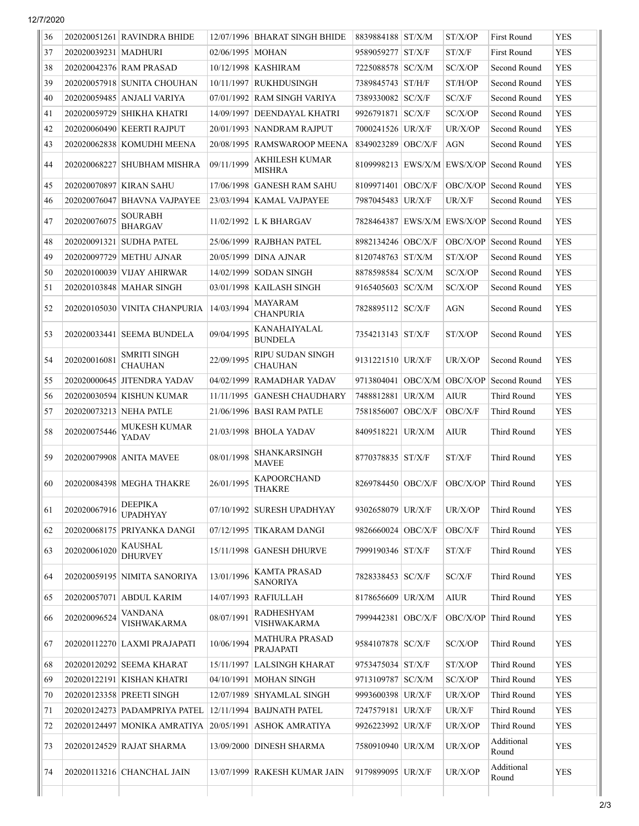12/7/2020

| 36 |                        | 202020051261 RAVINDRA BHIDE      |                    | 12/07/1996 BHARAT SINGH BHIDE          | 8839884188 ST/X/M               | ST/X/OP     | <b>First Round</b>                       | <b>YES</b> |
|----|------------------------|----------------------------------|--------------------|----------------------------------------|---------------------------------|-------------|------------------------------------------|------------|
| 37 | 202020039231   MADHURI |                                  | 02/06/1995   MOHAN |                                        | 9589059277   ST/X/F             | ST/X/F      | <b>First Round</b>                       | <b>YES</b> |
| 38 |                        | 202020042376 RAM PRASAD          |                    | 10/12/1998   KASHIRAM                  | 7225088578 SC/X/M               | SC/X/OP     | Second Round                             | <b>YES</b> |
| 39 |                        | 202020057918 SUNITA CHOUHAN      |                    | 10/11/1997 RUKHDUSINGH                 | 7389845743   ST/H/F             | ST/H/OP     | Second Round                             | <b>YES</b> |
| 40 |                        | 202020059485   ANJALI VARIYA     |                    | 07/01/1992 RAM SINGH VARIYA            | 7389330082 SC/X/F               | SC/X/F      | Second Round                             | <b>YES</b> |
| 41 |                        | 202020059729 SHIKHA KHATRI       |                    | 14/09/1997   DEENDAYAL KHATRI          | 9926791871 SC/X/F               | SC/X/OP     | Second Round                             | <b>YES</b> |
| 42 |                        | 202020060490   KEERTI RAJPUT     |                    | 20/01/1993 NANDRAM RAJPUT              | 7000241526 UR/X/F               | UR/X/OP     | Second Round                             | <b>YES</b> |
| 43 |                        | 202020062838 KOMUDHI MEENA       |                    | 20/08/1995   RAMSWAROOP MEENA          | 8349023289 OBC/X/F              | AGN         | Second Round                             | <b>YES</b> |
| 44 |                        | 202020068227 SHUBHAM MISHRA      | 09/11/1999         | <b>AKHILESH KUMAR</b><br><b>MISHRA</b> |                                 |             | 8109998213 EWS/X/M EWS/X/OP Second Round | <b>YES</b> |
| 45 |                        | 202020070897 KIRAN SAHU          | 17/06/1998         | <b>GANESH RAM SAHU</b>                 | 8109971401 OBC/X/F              | OBC/X/OP    | Second Round                             | <b>YES</b> |
| 46 |                        | 202020076047   BHAVNA VAJPAYEE   |                    | 23/03/1994   KAMAL VAJPAYEE            | 7987045483   UR/X/F             | UR/X/F      | Second Round                             | <b>YES</b> |
| 47 | 202020076075           | <b>SOURABH</b><br><b>BHARGAV</b> |                    | 11/02/1992 L K BHARGAV                 |                                 |             | 7828464387 EWS/X/M EWS/X/OP Second Round | <b>YES</b> |
| 48 |                        | 202020091321 SUDHA PATEL         |                    | 25/06/1999 RAJBHAN PATEL               | 8982134246 OBC/X/F              | OBC/X/OP    | Second Round                             | <b>YES</b> |
| 49 |                        | 202020097729 METHU AJNAR         | 20/05/1999         | <b>DINA AJNAR</b>                      | 8120748763 ST/X/M               | ST/X/OP     | Second Round                             | <b>YES</b> |
| 50 |                        | 202020100039 VIJAY AHIRWAR       |                    | 14/02/1999   SODAN SINGH               | 8878598584 SC/X/M               | SC/X/OP     | Second Round                             | <b>YES</b> |
| 51 |                        | 202020103848   MAHAR SINGH       |                    | 03/01/1998   KAILASH SINGH             | 9165405603   SC/X/M             | SC/X/OP     | Second Round                             | <b>YES</b> |
| 52 |                        | 202020105030 VINITA CHANPURIA    | 14/03/1994         | MAYARAM<br><b>CHANPURIA</b>            | 7828895112   SC/X/F             | AGN         | Second Round                             | <b>YES</b> |
| 53 |                        | 202020033441 SEEMA BUNDELA       | 09/04/1995         | KANAHAIYALAL<br><b>BUNDELA</b>         | 7354213143 ST/X/F               | ST/X/OP     | Second Round                             | <b>YES</b> |
| 54 | 202020016081           | SMRITI SINGH<br><b>CHAUHAN</b>   | 22/09/1995         | RIPU SUDAN SINGH<br><b>CHAUHAN</b>     | 9131221510 UR/X/F               | UR/X/OP     | Second Round                             | <b>YES</b> |
| 55 |                        | 202020000645 JITENDRA YADAV      | 04/02/1999         | <b>RAMADHAR YADAV</b>                  | 9713804041   OBC/X/M   OBC/X/OP |             | Second Round                             | <b>YES</b> |
| 56 |                        | 202020030594 KISHUN KUMAR        | 11/11/1995         | <b>GANESH CHAUDHARY</b>                | 7488812881 UR/X/M               | <b>AIUR</b> | Third Round                              | <b>YES</b> |
| 57 |                        | 202020073213 NEHA PATLE          |                    | 21/06/1996   BASI RAM PATLE            | 7581856007   OBC/X/F            | OBC/X/F     | Third Round                              | <b>YES</b> |
| 58 | 202020075446           | MUKESH KUMAR<br>YADAV            |                    | 21/03/1998 BHOLA YADAV                 | 8409518221 UR/X/M               | AIUR        | Third Round                              | <b>YES</b> |
| 59 |                        | 202020079908 ANITA MAVEE         | 08/01/1998         | <b>SHANKARSINGH</b><br><b>MAVEE</b>    | 8770378835 ST/X/F               | ST/X/F      | Third Round                              | <b>YES</b> |
| 60 |                        | 202020084398 MEGHA THAKRE        | 26/01/1995         | <b>KAPOORCHAND</b><br>THAKRE           | 8269784450 OBC/X/F              |             | OBC/X/OP Third Round                     | <b>YES</b> |
| 61 | 202020067916           | DEEPIKA<br><b>UPADHYAY</b>       |                    | 07/10/1992 SURESH UPADHYAY             | 9302658079   UR/X/F             | UR/X/OP     | Third Round                              | <b>YES</b> |
| 62 |                        | 202020068175 PRIYANKA DANGI      |                    | 07/12/1995   TIKARAM DANGI             | 9826660024 OBC/X/F              | OBC/X/F     | Third Round                              | <b>YES</b> |
| 63 | 202020061020           | KAUSHAL<br><b>DHURVEY</b>        |                    | 15/11/1998 GANESH DHURVE               | 7999190346   ST/X/F             | ST/X/F      | <b>Third Round</b>                       | <b>YES</b> |
| 64 |                        | 202020059195 NIMITA SANORIYA     | 13/01/1996         | KAMTA PRASAD<br><b>SANORIYA</b>        | 7828338453 SC/X/F               | SC/X/F      | Third Round                              | <b>YES</b> |
| 65 | 202020057071           | <b>ABDUL KARIM</b>               | 14/07/1993         | RAFIULLAH                              | 8178656609 UR/X/M               | <b>AIUR</b> | Third Round                              | <b>YES</b> |
| 66 | 202020096524           | VANDANA<br>VISHWAKARMA           | 08/07/1991         | <b>RADHESHYAM</b><br>VISHWAKARMA       | 7999442381 OBC/X/F              | OBC/X/OP    | Third Round                              | <b>YES</b> |
| 67 |                        | 202020112270 LAXMI PRAJAPATI     | 10/06/1994         | MATHURA PRASAD<br>PRAJAPATI            | 9584107878 SC/X/F               | SC/X/OP     | Third Round                              | <b>YES</b> |
| 68 |                        | 202020120292 SEEMA KHARAT        |                    | 15/11/1997 LALSINGH KHARAT             | 9753475034 ST/X/F               | ST/X/OP     | Third Round                              | <b>YES</b> |
| 69 |                        | 202020122191   KISHAN KHATRI     |                    | 04/10/1991   MOHAN SINGH               | 9713109787   SC/X/M             | SC/X/OP     | Third Round                              | <b>YES</b> |
| 70 |                        | 202020123358 PREETI SINGH        |                    | 12/07/1989   SHYAMLAL SINGH            | 9993600398 UR/X/F               | UR/X/OP     | Third Round                              | <b>YES</b> |
| 71 |                        | 202020124273   PADAMPRIYA PATEL  |                    | 12/11/1994   BAIJNATH PATEL            | 7247579181 UR/X/F               | UR/X/F      | Third Round                              | <b>YES</b> |
| 72 |                        | 202020124497 MONIKA AMRATIYA     | 20/05/1991         | <b>ASHOK AMRATIYA</b>                  | 9926223992 UR/X/F               | UR/X/OP     | Third Round                              | <b>YES</b> |
| 73 |                        | 202020124529 RAJAT SHARMA        |                    | 13/09/2000 DINESH SHARMA               | 7580910940   UR/X/M             | UR/X/OP     | Additional<br>Round                      | <b>YES</b> |
| 74 |                        | 202020113216 CHANCHAL JAIN       |                    | 13/07/1999 RAKESH KUMAR JAIN           | 9179899095 UR/X/F               | UR/X/OP     | Additional<br>Round                      | <b>YES</b> |
|    |                        |                                  |                    |                                        |                                 |             |                                          |            |